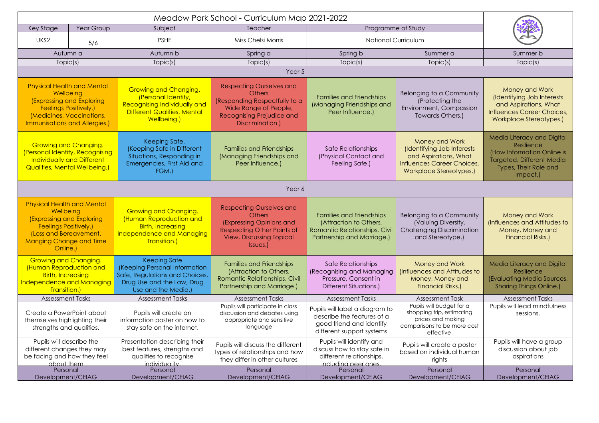| Key Stage                                                                                                                                                                           | Year Group | Subject                                                                                                                                         | Teacher                                                                                                                                                          | Programme of Study                                                                                                       |                                                                                                                                |                                                                                                                                                 |  |  |  |
|-------------------------------------------------------------------------------------------------------------------------------------------------------------------------------------|------------|-------------------------------------------------------------------------------------------------------------------------------------------------|------------------------------------------------------------------------------------------------------------------------------------------------------------------|--------------------------------------------------------------------------------------------------------------------------|--------------------------------------------------------------------------------------------------------------------------------|-------------------------------------------------------------------------------------------------------------------------------------------------|--|--|--|
| UKS2                                                                                                                                                                                | 5/6        | <b>PSHE</b>                                                                                                                                     | Miss Chelsi Morris                                                                                                                                               | <b>National Curriculum</b>                                                                                               |                                                                                                                                |                                                                                                                                                 |  |  |  |
| Autumn a                                                                                                                                                                            |            | Autumn b                                                                                                                                        | Spring a                                                                                                                                                         | Spring b                                                                                                                 | Summer a                                                                                                                       | Summer b                                                                                                                                        |  |  |  |
| Topic(s)                                                                                                                                                                            |            | Topic(s)                                                                                                                                        | Topic(s)                                                                                                                                                         | Topic(s)                                                                                                                 | Topic(s)                                                                                                                       | Topic(s)                                                                                                                                        |  |  |  |
| Year 5                                                                                                                                                                              |            |                                                                                                                                                 |                                                                                                                                                                  |                                                                                                                          |                                                                                                                                |                                                                                                                                                 |  |  |  |
| <b>Physical Health and Mental</b><br><b>Wellbeing</b><br>(Expressing and Exploring<br><b>Feelings Positively.)</b><br>(Medicines, Vaccinations,<br>Immunisations and Allergies.)    |            | <b>Growing and Changing.</b><br>(Personal Identity,<br><b>Recognising Individually and</b><br><b>Different Qualities, Mental</b><br>Wellbeing.) | <b>Respecting Ourselves and</b><br><b>Others</b><br>(Responding Respectfully to a<br>Wide Range of People,<br>Recognising Prejudice and<br>Discrimination.)      | <b>Families and Friendships</b><br>(Managing Friendships and<br>Peer Influence.)                                         | Belonging to a Community<br>(Protecting the<br>Environment, Compassion<br>Towards Others.)                                     | Money and Work<br>(Identifying Job Interests<br>and Aspirations, What<br>Influences Career Choices,<br>Workplace Stereotypes.)                  |  |  |  |
| <b>Growing and Changing.</b><br>(Personal Identity, Recognising<br>Individually and Different<br><b>Qualities, Mental Wellbeing.)</b>                                               |            | Keeping Safe.<br>(Keeping Safe in Different<br>Situations, Responding in<br>Emergencies, First Aid and<br>FGM.)                                 | <b>Families and Friendships</b><br>(Managing Friendships and<br>Peer Influence.)                                                                                 | Safe Relationships<br>(Physical Contact and<br>Feeling Safe.)                                                            | Money and Work<br>(Identifying Job Interests<br>and Aspirations, What<br>Influences Career Choices,<br>Workplace Stereotypes.) | Media Literacy and Digital<br>Resilience<br>(How Information Online is<br><b>Targeted, Different Media</b><br>Types, Their Role and<br>Impact.) |  |  |  |
| Year 6                                                                                                                                                                              |            |                                                                                                                                                 |                                                                                                                                                                  |                                                                                                                          |                                                                                                                                |                                                                                                                                                 |  |  |  |
| <b>Physical Health and Mental</b><br>Wellbeing<br>(Expressing and Exploring<br><b>Feelings Positively.)</b><br>(Loss and Bereavement.<br><b>Manging Change and Time</b><br>Online.) |            | <b>Growing and Changing.</b><br>(Human Reproduction and<br><b>Birth, Increasing</b><br>Independence and Managing<br>Transition.)                | <b>Respecting Ourselves and</b><br><b>Others</b><br>(Expressing Opinions and<br><b>Respecting Other Points of</b><br><b>View, Discussing Topical</b><br>Issues.) | <b>Families and Friendships</b><br>(Attraction to Others,<br>Romantic Relationships, Civil<br>Partnership and Marriage.) | Belonging to a Community<br>(Valuing Diversity,<br><b>Challenging Discrimination</b><br>and Stereotype.)                       | Money and Work<br>(Influences and Attitudes to<br>Money, Money and<br><b>Financial Risks.)</b>                                                  |  |  |  |
| <b>Growing and Changing.</b><br>Human Reproduction and<br><b>Birth, Increasing</b><br><b>Independence and Managing</b><br>Transition.)                                              |            | <b>Keeping Safe</b><br>(Keeping Personal Information<br>Safe, Regulations and Choices,<br>Drug Use and the Law, Drug<br>Use and the Media.)     | <b>Families and Friendships</b><br>(Attraction to Others,<br>Romantic Relationships, Civil<br>Partnership and Marriage.)                                         | Safe Relationships<br>(Recognising and Managing<br>Pressure, Consent in<br>Different Situations.)                        | <b>Money and Work</b><br>Influences and Attitudes to<br>Money, Money and<br><b>Financial Risks.)</b>                           | <b>Media Literacy and Digital</b><br>Resilience<br>(Evaluating Media Sources,<br><b>Sharing Things Online.)</b>                                 |  |  |  |
| <b>Assessment Tasks</b>                                                                                                                                                             |            | <b>Assessment Tasks</b>                                                                                                                         | <b>Assessment Tasks</b>                                                                                                                                          | <b>Assessment Tasks</b>                                                                                                  | <b>Assessment Task</b>                                                                                                         | <b>Assessment Tasks</b>                                                                                                                         |  |  |  |
| Create a PowerPoint about<br>themselves highlighting their<br>strengths and qualities.                                                                                              |            | Pupils will create an<br>information poster on how to<br>stay safe on the internet.                                                             | Pupils will participate in class<br>discussion and debates using<br>appropriate and sensitive<br>language                                                        | Pupils will label a diagram to<br>describe the features of a<br>good friend and identify<br>different support systems    | Pupils will budget for a<br>shopping trip, estimating<br>prices and making<br>comparisons to be more cost<br>effective         | Pupils will lead mindfulness<br>sessions.                                                                                                       |  |  |  |
| Pupils will describe the<br>different changes they may<br>be facing and how they feel<br>about them                                                                                 |            | Presentation describing their<br>best features, strengths and<br>qualities to recognise<br><i>individuality</i>                                 | Pupils will discuss the different<br>types of relationships and how<br>they differ in other cultures                                                             | Pupils will identify and<br>discuss how to stay safe in<br>different relationships,<br>including peer ones.              | Pupils will create a poster<br>based on individual human<br>rights                                                             | Pupils will have a group<br>discussion about job<br>aspirations                                                                                 |  |  |  |
| Personal<br>Development/CEIAG                                                                                                                                                       |            | Personal<br>Development/CEIAG                                                                                                                   | Personal<br>Development/CEIAG                                                                                                                                    | Personal<br>Development/CEIAG                                                                                            | Personal<br>Development/CEIAG                                                                                                  | Personal<br>Development/CEIAG                                                                                                                   |  |  |  |
|                                                                                                                                                                                     |            |                                                                                                                                                 |                                                                                                                                                                  |                                                                                                                          |                                                                                                                                |                                                                                                                                                 |  |  |  |